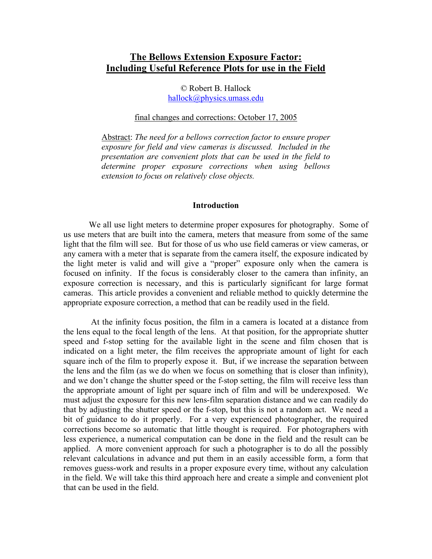# **The Bellows Extension Exposure Factor: Including Useful Reference Plots for use in the Field**

© Robert B. Hallock hallock@physics.umass.edu

## final changes and corrections: October 17, 2005

Abstract: *The need for a bellows correction factor to ensure proper exposure for field and view cameras is discussed. Included in the presentation are convenient plots that can be used in the field to determine proper exposure corrections when using bellows extension to focus on relatively close objects.*

## **Introduction**

We all use light meters to determine proper exposures for photography. Some of us use meters that are built into the camera, meters that measure from some of the same light that the film will see. But for those of us who use field cameras or view cameras, or any camera with a meter that is separate from the camera itself, the exposure indicated by the light meter is valid and will give a "proper" exposure only when the camera is focused on infinity. If the focus is considerably closer to the camera than infinity, an exposure correction is necessary, and this is particularly significant for large format cameras. This article provides a convenient and reliable method to quickly determine the appropriate exposure correction, a method that can be readily used in the field.

 At the infinity focus position, the film in a camera is located at a distance from the lens equal to the focal length of the lens. At that position, for the appropriate shutter speed and f-stop setting for the available light in the scene and film chosen that is indicated on a light meter, the film receives the appropriate amount of light for each square inch of the film to properly expose it. But, if we increase the separation between the lens and the film (as we do when we focus on something that is closer than infinity), and we don't change the shutter speed or the f-stop setting, the film will receive less than the appropriate amount of light per square inch of film and will be underexposed. We must adjust the exposure for this new lens-film separation distance and we can readily do that by adjusting the shutter speed or the f-stop, but this is not a random act. We need a bit of guidance to do it properly. For a very experienced photographer, the required corrections become so automatic that little thought is required. For photographers with less experience, a numerical computation can be done in the field and the result can be applied. A more convenient approach for such a photographer is to do all the possibly relevant calculations in advance and put them in an easily accessible form, a form that removes guess-work and results in a proper exposure every time, without any calculation in the field. We will take this third approach here and create a simple and convenient plot that can be used in the field.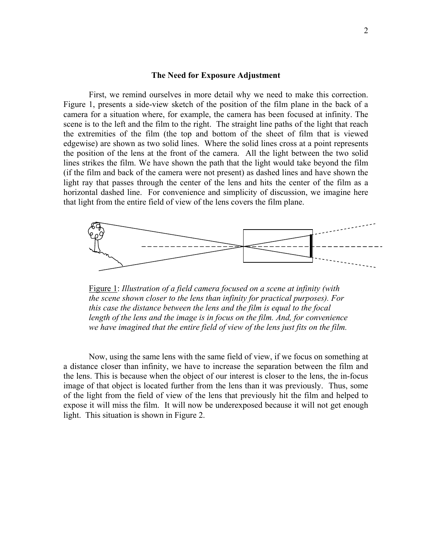#### **The Need for Exposure Adjustment**

First, we remind ourselves in more detail why we need to make this correction. Figure 1, presents a side-view sketch of the position of the film plane in the back of a camera for a situation where, for example, the camera has been focused at infinity. The scene is to the left and the film to the right. The straight line paths of the light that reach the extremities of the film (the top and bottom of the sheet of film that is viewed edgewise) are shown as two solid lines. Where the solid lines cross at a point represents the position of the lens at the front of the camera. All the light between the two solid lines strikes the film. We have shown the path that the light would take beyond the film (if the film and back of the camera were not present) as dashed lines and have shown the light ray that passes through the center of the lens and hits the center of the film as a horizontal dashed line. For convenience and simplicity of discussion, we imagine here that light from the entire field of view of the lens covers the film plane.



Figure 1: *Illustration of a field camera focused on a scene at infinity (with the scene shown closer to the lens than infinity for practical purposes). For this case the distance between the lens and the film is equal to the focal length of the lens and the image is in focus on the film. And, for convenience we have imagined that the entire field of view of the lens just fits on the film.* 

Now, using the same lens with the same field of view, if we focus on something at a distance closer than infinity, we have to increase the separation between the film and the lens. This is because when the object of our interest is closer to the lens, the in-focus image of that object is located further from the lens than it was previously. Thus, some of the light from the field of view of the lens that previously hit the film and helped to expose it will miss the film. It will now be underexposed because it will not get enough light. This situation is shown in Figure 2.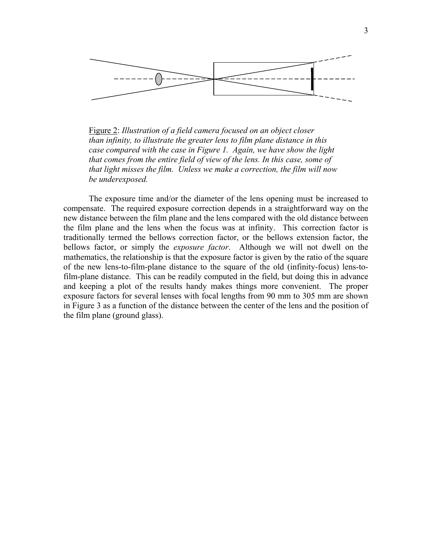

Figure 2: *Illustration of a field camera focused on an object closer than infinity, to illustrate the greater lens to film plane distance in this case compared with the case in Figure 1. Again, we have show the light that comes from the entire field of view of the lens. In this case, some of that light misses the film. Unless we make a correction, the film will now be underexposed.*

The exposure time and/or the diameter of the lens opening must be increased to compensate. The required exposure correction depends in a straightforward way on the new distance between the film plane and the lens compared with the old distance between the film plane and the lens when the focus was at infinity. This correction factor is traditionally termed the bellows correction factor, or the bellows extension factor, the bellows factor, or simply the *exposure factor*. Although we will not dwell on the mathematics, the relationship is that the exposure factor is given by the ratio of the square of the new lens-to-film-plane distance to the square of the old (infinity-focus) lens-tofilm-plane distance. This can be readily computed in the field, but doing this in advance and keeping a plot of the results handy makes things more convenient. The proper exposure factors for several lenses with focal lengths from 90 mm to 305 mm are shown in Figure 3 as a function of the distance between the center of the lens and the position of the film plane (ground glass).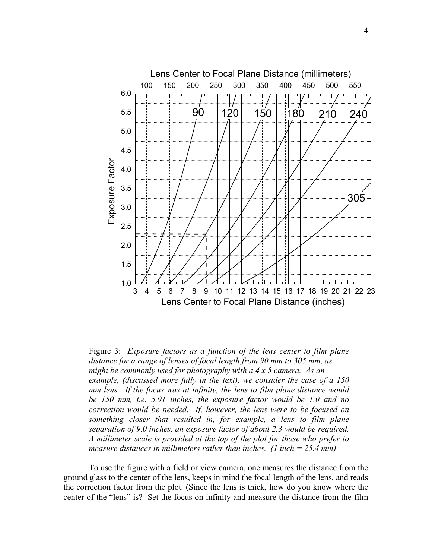

Figure 3: *Exposure factors as a function of the lens center to film plane distance for a range of lenses of focal length from 90 mm to 305 mm, as might be commonly used for photography with a 4 x 5 camera. As an example, (discussed more fully in the text), we consider the case of a 150 mm lens. If the focus was at infinity, the lens to film plane distance would be 150 mm, i.e. 5.91 inches, the exposure factor would be 1.0 and no correction would be needed. If, however, the lens were to be focused on something closer that resulted in, for example, a lens to film plane separation of 9.0 inches, an exposure factor of about 2.3 would be required. A millimeter scale is provided at the top of the plot for those who prefer to measure distances in millimeters rather than inches. (1 inch = 25.4 mm)* 

 To use the figure with a field or view camera, one measures the distance from the ground glass to the center of the lens, keeps in mind the focal length of the lens, and reads the correction factor from the plot. (Since the lens is thick, how do you know where the center of the "lens" is? Set the focus on infinity and measure the distance from the film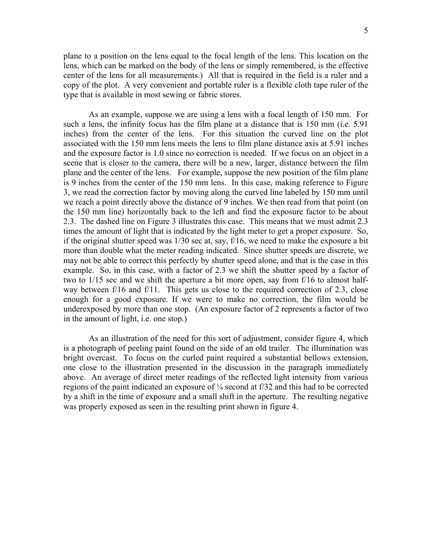plane to a position on the lens equal to the focal length of the lens. This location on the lens, which can be marked on the body of the lens or simply remembered, is the effective center of the lens for all measurements.) All that is required in the field is a ruler and a copy of the plot. A very convenient and portable ruler is a flexible cloth tape ruler of the type that is available in most sewing or fabric stores.

 As an example, suppose we are using a lens with a focal length of 150 mm. For such a lens, the infinity focus has the film plane at a distance that is 150 mm (i.e. 5.91 inches) from the center of the lens. For this situation the curved line on the plot associated with the 150 mm lens meets the lens to film plane distance axis at 5.91 inches and the exposure factor is 1.0 since no correction is needed. If we focus on an object in a scene that is closer to the camera, there will be a new, larger, distance between the film plane and the center of the lens. For example, suppose the new position of the film plane is 9 inches from the center of the 150 mm lens. In this case, making reference to Figure 3, we read the correction factor by moving along the curved line labeled by 150 mm until we reach a point directly above the distance of 9 inches. We then read from that point (on the 150 mm line) horizontally back to the left and find the exposure factor to be about 2.3. The dashed line on Figure 3 illustrates this case. This means that we must admit 2.3 times the amount of light that is indicated by the light meter to get a proper exposure. So, if the original shutter speed was 1/30 sec at, say, f/16, we need to make the exposure a bit more than double what the meter reading indicated. Since shutter speeds are discrete, we may not be able to correct this perfectly by shutter speed alone, and that is the case in this example. So, in this case, with a factor of 2.3 we shift the shutter speed by a factor of two to 1/15 sec and we shift the aperture a bit more open, say from f/16 to almost halfway between f/16 and f/11. This gets us close to the required correction of 2.3, close enough for a good exposure. If we were to make no correction, the film would be underexposed by more than one stop. (An exposure factor of 2 represents a factor of two in the amount of light, i.e. one stop.)

 As an illustration of the need for this sort of adjustment, consider figure 4, which is a photograph of peeling paint found on the side of an old trailer. The illumination was bright overcast. To focus on the curled paint required a substantial bellows extension, one close to the illustration presented in the discussion in the paragraph immediately above. An average of direct meter readings of the reflected light intensity from various regions of the paint indicated an exposure of ¼ second at f/32 and this had to be corrected by a shift in the time of exposure and a small shift in the aperture. The resulting negative was properly exposed as seen in the resulting print shown in figure 4.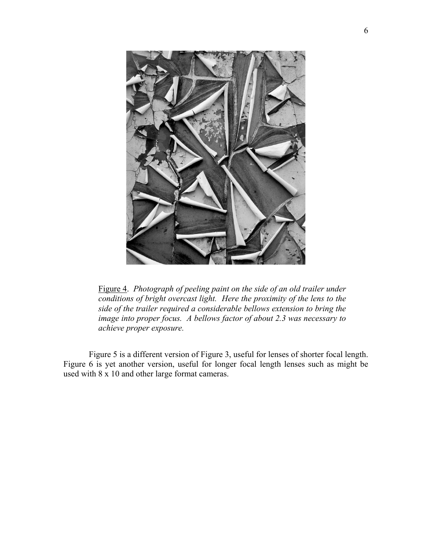

Figure 4. *Photograph of peeling paint on the side of an old trailer under conditions of bright overcast light. Here the proximity of the lens to the side of the trailer required a considerable bellows extension to bring the image into proper focus. A bellows factor of about 2.3 was necessary to achieve proper exposure.* 

 Figure 5 is a different version of Figure 3, useful for lenses of shorter focal length. Figure 6 is yet another version, useful for longer focal length lenses such as might be used with 8 x 10 and other large format cameras.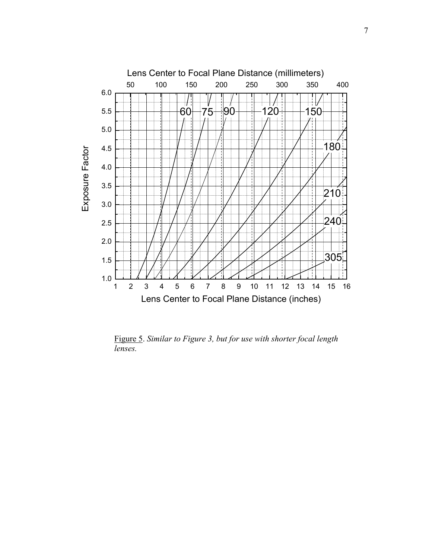

 Figure 5. *Similar to Figure 3, but for use with shorter focal length lenses.*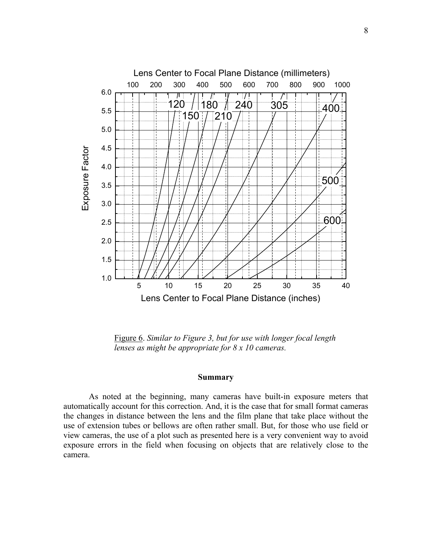

 Figure 6. *Similar to Figure 3, but for use with longer focal length lenses as might be appropriate for 8 x 10 cameras.* 

# **Summary**

 As noted at the beginning, many cameras have built-in exposure meters that automatically account for this correction. And, it is the case that for small format cameras the changes in distance between the lens and the film plane that take place without the use of extension tubes or bellows are often rather small. But, for those who use field or view cameras, the use of a plot such as presented here is a very convenient way to avoid exposure errors in the field when focusing on objects that are relatively close to the camera.